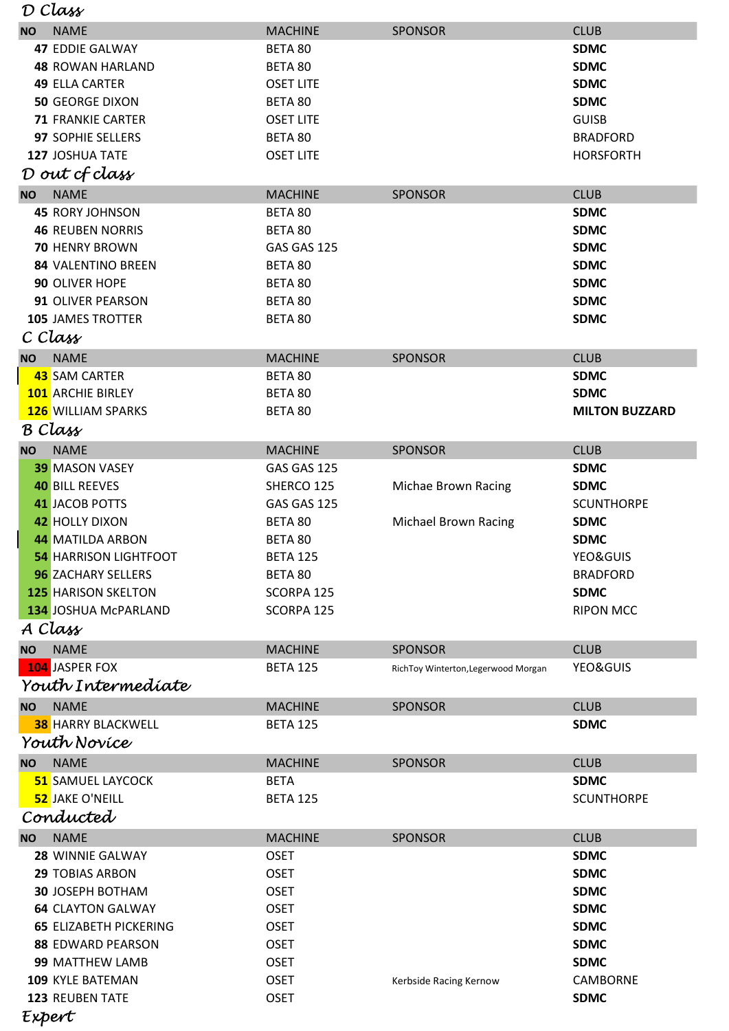| D Class   |                               |                  |                                     |                       |  |  |  |  |  |
|-----------|-------------------------------|------------------|-------------------------------------|-----------------------|--|--|--|--|--|
| <b>NO</b> | <b>NAME</b>                   | <b>MACHINE</b>   | <b>SPONSOR</b>                      | <b>CLUB</b>           |  |  |  |  |  |
|           | <b>47 EDDIE GALWAY</b>        | BETA 80          |                                     | <b>SDMC</b>           |  |  |  |  |  |
|           | <b>48 ROWAN HARLAND</b>       | BETA 80          |                                     | <b>SDMC</b>           |  |  |  |  |  |
|           | <b>49 ELLA CARTER</b>         | <b>OSET LITE</b> |                                     | <b>SDMC</b>           |  |  |  |  |  |
|           | <b>50 GEORGE DIXON</b>        | BETA 80          |                                     | <b>SDMC</b>           |  |  |  |  |  |
|           | <b>71 FRANKIE CARTER</b>      | <b>OSET LITE</b> |                                     | <b>GUISB</b>          |  |  |  |  |  |
|           | 97 SOPHIE SELLERS             | BETA 80          |                                     | <b>BRADFORD</b>       |  |  |  |  |  |
|           | 127 JOSHUA TATE               | <b>OSET LITE</b> |                                     | <b>HORSFORTH</b>      |  |  |  |  |  |
|           | D out cf class                |                  |                                     |                       |  |  |  |  |  |
| <b>NO</b> | <b>NAME</b>                   | <b>MACHINE</b>   | <b>SPONSOR</b>                      | <b>CLUB</b>           |  |  |  |  |  |
|           | <b>45 RORY JOHNSON</b>        | BETA 80          |                                     | <b>SDMC</b>           |  |  |  |  |  |
|           | <b>46 REUBEN NORRIS</b>       | BETA 80          |                                     | <b>SDMC</b>           |  |  |  |  |  |
|           | <b>70 HENRY BROWN</b>         | GAS GAS 125      |                                     | <b>SDMC</b>           |  |  |  |  |  |
|           | <b>84 VALENTINO BREEN</b>     | BETA 80          |                                     | <b>SDMC</b>           |  |  |  |  |  |
|           | 90 OLIVER HOPE                | BETA 80          |                                     | <b>SDMC</b>           |  |  |  |  |  |
|           | 91 OLIVER PEARSON             | BETA 80          |                                     | <b>SDMC</b>           |  |  |  |  |  |
|           | <b>105 JAMES TROTTER</b>      | BETA 80          |                                     | <b>SDMC</b>           |  |  |  |  |  |
|           | C Class                       |                  |                                     |                       |  |  |  |  |  |
| <b>NO</b> | <b>NAME</b>                   | <b>MACHINE</b>   | <b>SPONSOR</b>                      | <b>CLUB</b>           |  |  |  |  |  |
|           | 43 SAM CARTER                 | BETA 80          |                                     | <b>SDMC</b>           |  |  |  |  |  |
|           | <b>101</b> ARCHIE BIRLEY      | BETA 80          |                                     | <b>SDMC</b>           |  |  |  |  |  |
|           | <b>126 WILLIAM SPARKS</b>     |                  |                                     |                       |  |  |  |  |  |
|           | B Class                       | BETA 80          |                                     | <b>MILTON BUZZARD</b> |  |  |  |  |  |
|           |                               |                  |                                     |                       |  |  |  |  |  |
| <b>NO</b> | <b>NAME</b>                   | <b>MACHINE</b>   | <b>SPONSOR</b>                      | <b>CLUB</b>           |  |  |  |  |  |
|           | <b>39 MASON VASEY</b>         | GAS GAS 125      |                                     | <b>SDMC</b>           |  |  |  |  |  |
|           | <b>40 BILL REEVES</b>         | SHERCO 125       | Michae Brown Racing                 | <b>SDMC</b>           |  |  |  |  |  |
|           | <b>41 JACOB POTTS</b>         | GAS GAS 125      |                                     | <b>SCUNTHORPE</b>     |  |  |  |  |  |
|           | <b>42 HOLLY DIXON</b>         | BETA 80          | <b>Michael Brown Racing</b>         | <b>SDMC</b>           |  |  |  |  |  |
|           | <b>44 MATILDA ARBON</b>       | BETA 80          |                                     | <b>SDMC</b>           |  |  |  |  |  |
|           | <b>54 HARRISON LIGHTFOOT</b>  | <b>BETA 125</b>  |                                     | YEO&GUIS              |  |  |  |  |  |
|           | <b>96 ZACHARY SELLERS</b>     | BETA 80          |                                     | <b>BRADFORD</b>       |  |  |  |  |  |
|           | <b>125 HARISON SKELTON</b>    | SCORPA 125       |                                     | <b>SDMC</b>           |  |  |  |  |  |
|           | 134 JOSHUA McPARLAND          | SCORPA 125       |                                     | <b>RIPON MCC</b>      |  |  |  |  |  |
|           | A Class                       |                  |                                     |                       |  |  |  |  |  |
| <b>NO</b> | <b>NAME</b>                   | <b>MACHINE</b>   | <b>SPONSOR</b>                      | <b>CLUB</b>           |  |  |  |  |  |
|           | 104 JASPER FOX                | <b>BETA 125</b>  | RichToy Winterton, Legerwood Morgan | YEO&GUIS              |  |  |  |  |  |
|           | Youth Intermediate            |                  |                                     |                       |  |  |  |  |  |
| <b>NO</b> | <b>NAME</b>                   | <b>MACHINE</b>   | <b>SPONSOR</b>                      | <b>CLUB</b>           |  |  |  |  |  |
|           | <b>38 HARRY BLACKWELL</b>     | <b>BETA 125</b>  |                                     | <b>SDMC</b>           |  |  |  |  |  |
|           | Youth Novíce                  |                  |                                     |                       |  |  |  |  |  |
| <b>NO</b> | <b>NAME</b>                   | <b>MACHINE</b>   | <b>SPONSOR</b>                      | <b>CLUB</b>           |  |  |  |  |  |
|           | <b>51 SAMUEL LAYCOCK</b>      | <b>BETA</b>      |                                     | <b>SDMC</b>           |  |  |  |  |  |
|           | 52 JAKE O'NEILL               | <b>BETA 125</b>  |                                     | <b>SCUNTHORPE</b>     |  |  |  |  |  |
| Conducted |                               |                  |                                     |                       |  |  |  |  |  |
| <b>NO</b> | <b>NAME</b>                   | <b>MACHINE</b>   | <b>SPONSOR</b>                      | <b>CLUB</b>           |  |  |  |  |  |
|           | 28 WINNIE GALWAY              | <b>OSET</b>      |                                     | <b>SDMC</b>           |  |  |  |  |  |
|           | <b>29 TOBIAS ARBON</b>        | <b>OSET</b>      |                                     | <b>SDMC</b>           |  |  |  |  |  |
|           | <b>30 JOSEPH BOTHAM</b>       | <b>OSET</b>      |                                     | <b>SDMC</b>           |  |  |  |  |  |
|           | <b>64 CLAYTON GALWAY</b>      | <b>OSET</b>      |                                     | <b>SDMC</b>           |  |  |  |  |  |
|           | <b>65 ELIZABETH PICKERING</b> | <b>OSET</b>      |                                     | <b>SDMC</b>           |  |  |  |  |  |
|           | <b>88 EDWARD PEARSON</b>      | <b>OSET</b>      |                                     | <b>SDMC</b>           |  |  |  |  |  |
|           | 99 MATTHEW LAMB               | <b>OSET</b>      |                                     | <b>SDMC</b>           |  |  |  |  |  |
|           | 109 KYLE BATEMAN              | <b>OSET</b>      | Kerbside Racing Kernow              | <b>CAMBORNE</b>       |  |  |  |  |  |
|           | 123 REUBEN TATE               | <b>OSET</b>      |                                     | <b>SDMC</b>           |  |  |  |  |  |

Expert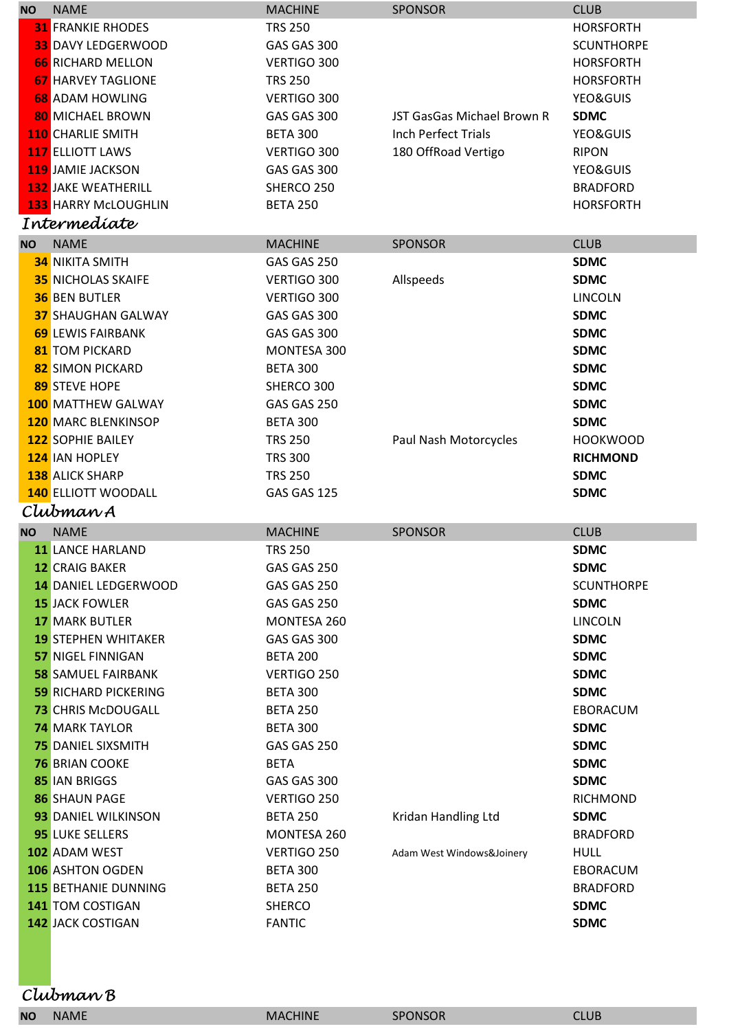| <b>NO</b> | <b>NAME</b>                                  | <b>MACHINE</b>                 | <b>SPONSOR</b>             | <b>CLUB</b>                |
|-----------|----------------------------------------------|--------------------------------|----------------------------|----------------------------|
|           | <b>31 FRANKIE RHODES</b>                     | <b>TRS 250</b>                 |                            | <b>HORSFORTH</b>           |
|           | <b>33 DAVY LEDGERWOOD</b>                    | GAS GAS 300                    |                            | <b>SCUNTHORPE</b>          |
|           | <b>66 RICHARD MELLON</b>                     | VERTIGO 300                    |                            | <b>HORSFORTH</b>           |
|           | <b>67 HARVEY TAGLIONE</b>                    | <b>TRS 250</b>                 |                            | <b>HORSFORTH</b>           |
|           | <b>68 ADAM HOWLING</b>                       | VERTIGO 300                    |                            | YEO&GUIS                   |
|           | <b>80 MICHAEL BROWN</b>                      | GAS GAS 300                    | JST GasGas Michael Brown R | <b>SDMC</b>                |
|           | <b>110 CHARLIE SMITH</b>                     | <b>BETA 300</b>                | <b>Inch Perfect Trials</b> | YEO&GUIS                   |
|           | <b>117 ELLIOTT LAWS</b>                      | VERTIGO 300                    | 180 OffRoad Vertigo        | <b>RIPON</b>               |
|           | 119 JAMIE JACKSON                            | GAS GAS 300                    |                            | YEO&GUIS                   |
|           | <b>132 JAKE WEATHERILL</b>                   | SHERCO 250                     |                            | <b>BRADFORD</b>            |
|           | <b>133 HARRY McLOUGHLIN</b>                  | <b>BETA 250</b>                |                            | <b>HORSFORTH</b>           |
|           | Intermedíate                                 |                                |                            |                            |
| <b>NO</b> | <b>NAME</b>                                  | <b>MACHINE</b>                 | <b>SPONSOR</b>             | <b>CLUB</b>                |
|           | <b>34 NIKITA SMITH</b>                       | GAS GAS 250                    |                            | <b>SDMC</b>                |
|           | <b>35 NICHOLAS SKAIFE</b>                    | VERTIGO 300                    | Allspeeds                  | <b>SDMC</b>                |
|           | <b>36 BEN BUTLER</b>                         | VERTIGO 300                    |                            | <b>LINCOLN</b>             |
|           | <b>37 SHAUGHAN GALWAY</b>                    | GAS GAS 300                    |                            | <b>SDMC</b>                |
|           | <b>69 LEWIS FAIRBANK</b>                     | GAS GAS 300                    |                            | <b>SDMC</b>                |
|           | <b>81 TOM PICKARD</b>                        | MONTESA 300                    |                            | <b>SDMC</b>                |
|           | 82 SIMON PICKARD                             | <b>BETA 300</b>                |                            | <b>SDMC</b>                |
|           | 89 STEVE HOPE                                | SHERCO 300                     |                            | <b>SDMC</b>                |
|           | <b>100 MATTHEW GALWAY</b>                    | GAS GAS 250                    |                            | <b>SDMC</b>                |
|           | <b>120 MARC BLENKINSOP</b>                   | <b>BETA 300</b>                |                            | <b>SDMC</b>                |
|           | <b>122 SOPHIE BAILEY</b>                     | <b>TRS 250</b>                 | Paul Nash Motorcycles      | <b>HOOKWOOD</b>            |
|           | 124 IAN HOPLEY                               | <b>TRS 300</b>                 |                            | <b>RICHMOND</b>            |
|           | <b>138</b> ALICK SHARP                       | <b>TRS 250</b>                 |                            | <b>SDMC</b>                |
|           |                                              |                                |                            |                            |
|           |                                              |                                |                            |                            |
|           | <b>140 ELLIOTT WOODALL</b>                   | GAS GAS 125                    |                            | <b>SDMC</b>                |
|           | Clubman A                                    |                                |                            |                            |
| <b>NO</b> | <b>NAME</b>                                  | <b>MACHINE</b>                 | <b>SPONSOR</b>             | <b>CLUB</b>                |
|           | 11 LANCE HARLAND                             | TRS 250                        |                            | SDMC                       |
|           | <b>12 CRAIG BAKER</b>                        | GAS GAS 250                    |                            | <b>SDMC</b>                |
|           | <b>14 DANIEL LEDGERWOOD</b>                  | GAS GAS 250                    |                            | <b>SCUNTHORPE</b>          |
|           | <b>15 JACK FOWLER</b>                        | GAS GAS 250                    |                            | <b>SDMC</b>                |
|           | <b>17 MARK BUTLER</b>                        | MONTESA 260                    |                            | <b>LINCOLN</b>             |
|           | <b>19 STEPHEN WHITAKER</b>                   | GAS GAS 300                    |                            | <b>SDMC</b>                |
|           | <b>57 NIGEL FINNIGAN</b>                     | <b>BETA 200</b>                |                            | <b>SDMC</b>                |
|           | <b>58 SAMUEL FAIRBANK</b>                    | VERTIGO 250                    |                            | <b>SDMC</b>                |
|           | <b>59 RICHARD PICKERING</b>                  | <b>BETA 300</b>                |                            | <b>SDMC</b>                |
|           | <b>73 CHRIS McDOUGALL</b>                    | <b>BETA 250</b>                |                            | EBORACUM                   |
|           | <b>74 MARK TAYLOR</b>                        | <b>BETA 300</b>                |                            | <b>SDMC</b>                |
|           | <b>75 DANIEL SIXSMITH</b>                    | GAS GAS 250                    |                            | <b>SDMC</b>                |
|           | <b>76 BRIAN COOKE</b>                        | <b>BETA</b>                    |                            | <b>SDMC</b>                |
|           | <b>85 IAN BRIGGS</b>                         | GAS GAS 300                    |                            | <b>SDMC</b>                |
|           | <b>86 SHAUN PAGE</b>                         | VERTIGO 250                    |                            | <b>RICHMOND</b>            |
|           | 93 DANIEL WILKINSON                          | <b>BETA 250</b>                | Kridan Handling Ltd        | <b>SDMC</b>                |
|           | 95 LUKE SELLERS                              | MONTESA 260                    |                            | <b>BRADFORD</b>            |
|           | 102 ADAM WEST                                | VERTIGO 250                    | Adam West Windows&Joinery  | <b>HULL</b>                |
|           | <b>106 ASHTON OGDEN</b>                      | <b>BETA 300</b>                |                            | EBORACUM                   |
|           | <b>115 BETHANIE DUNNING</b>                  | <b>BETA 250</b>                |                            | <b>BRADFORD</b>            |
|           | <b>141 TOM COSTIGAN</b><br>142 JACK COSTIGAN | <b>SHERCO</b><br><b>FANTIC</b> |                            | <b>SDMC</b><br><b>SDMC</b> |